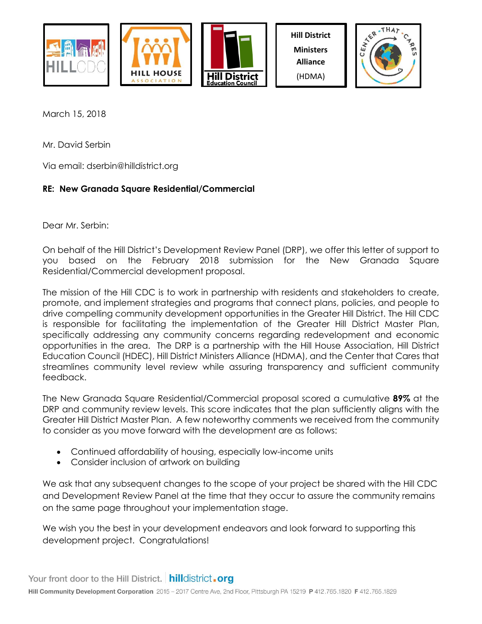



**Hill District Ministers Alliance** (HDMA)



March 15, 2018

Mr. David Serbin

Via email: dserbin@hilldistrict.org

## **RE: New Granada Square Residential/Commercial**

Dear Mr. Serbin:

On behalf of the Hill District's Development Review Panel (DRP), we offer this letter of support to you based on the February 2018 submission for the New Granada Square Residential/Commercial development proposal.

The mission of the Hill CDC is to work in partnership with residents and stakeholders to create, promote, and implement strategies and programs that connect plans, policies, and people to drive compelling community development opportunities in the Greater Hill District. The Hill CDC is responsible for facilitating the implementation of the Greater Hill District Master Plan, specifically addressing any community concerns regarding redevelopment and economic opportunities in the area. The DRP is a partnership with the Hill House Association, Hill District Education Council (HDEC), Hill District Ministers Alliance (HDMA), and the Center that Cares that streamlines community level review while assuring transparency and sufficient community feedback.

The New Granada Square Residential/Commercial proposal scored a cumulative **89%** at the DRP and community review levels. This score indicates that the plan sufficiently aligns with the Greater Hill District Master Plan. A few noteworthy comments we received from the community to consider as you move forward with the development are as follows:

- Continued affordability of housing, especially low-income units
- Consider inclusion of artwork on building

We ask that any subsequent changes to the scope of your project be shared with the Hill CDC and Development Review Panel at the time that they occur to assure the community remains on the same page throughout your implementation stage.

We wish you the best in your development endeavors and look forward to supporting this development project. Congratulations!